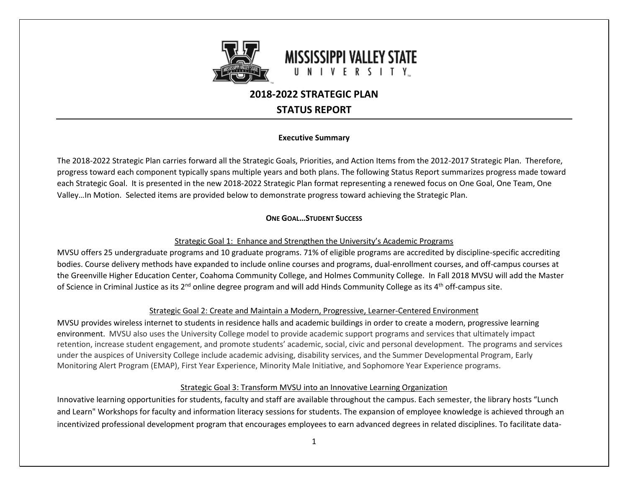

## **2018-2022 STRATEGIC PLAN**

## **STATUS REPORT**

#### **Executive Summary**

The 2018-2022 Strategic Plan carries forward all the Strategic Goals, Priorities, and Action Items from the 2012-2017 Strategic Plan. Therefore, progress toward each component typically spans multiple years and both plans. The following Status Report summarizes progress made toward each Strategic Goal. It is presented in the new 2018-2022 Strategic Plan format representing a renewed focus on One Goal, One Team, One Valley…In Motion. Selected items are provided below to demonstrate progress toward achieving the Strategic Plan.

### **ONE GOAL…STUDENT SUCCESS**

#### Strategic Goal 1: Enhance and Strengthen the University's Academic Programs

MVSU offers 25 undergraduate programs and 10 graduate programs. 71% of eligible programs are accredited by discipline-specific accrediting bodies. Course delivery methods have expanded to include online courses and programs, dual-enrollment courses, and off-campus courses at the Greenville Higher Education Center, Coahoma Community College, and Holmes Community College. In Fall 2018 MVSU will add the Master of Science in Criminal Justice as its  $2^{nd}$  online degree program and will add Hinds Community College as its  $4^{th}$  off-campus site.

### Strategic Goal 2: Create and Maintain a Modern, Progressive, Learner-Centered Environment

MVSU provides wireless internet to students in residence halls and academic buildings in order to create a modern, progressive learning environment. MVSU also uses the University College model to provide academic support programs and services that ultimately impact retention, increase student engagement, and promote students' academic, social, civic and personal development. The programs and services under the auspices of University College include academic advising, disability services, and the Summer Developmental Program, Early Monitoring Alert Program (EMAP), First Year Experience, Minority Male Initiative, and Sophomore Year Experience programs.

### Strategic Goal 3: Transform MVSU into an Innovative Learning Organization

Innovative learning opportunities for students, faculty and staff are available throughout the campus. Each semester, the library hosts "Lunch and Learn" Workshops for faculty and information literacy sessions for students. The expansion of employee knowledge is achieved through an incentivized professional development program that encourages employees to earn advanced degrees in related disciplines. To facilitate data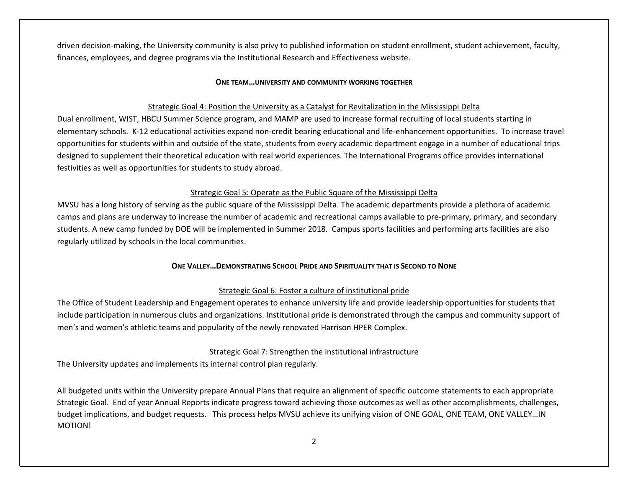driven decision-making, the University community is also privy to published information on student enrollment, student achievement, faculty, finances, employees, and degree programs via the Institutional Research and Effectiveness website.

#### **ONE TEAM…UNIVERSITY AND COMMUNITY WORKING TOGETHER**

#### Strategic Goal 4: Position the University as a Catalyst for Revitalization in the Mississippi Delta

Dual enrollment, WIST, HBCU Summer Science program, and MAMP are used to increase formal recruiting of local students starting in elementary schools. K-12 educational activities expand non-credit bearing educational and life-enhancement opportunities. To increase travel opportunities for students within and outside of the state, students from every academic department engage in a number of educational trips designed to supplement their theoretical education with real world experiences. The International Programs office provides international festivities as well as opportunities for students to study abroad.

#### Strategic Goal 5: Operate as the Public Square of the Mississippi Delta

MVSU has a long history of serving as the public square of the Mississippi Delta. The academic departments provide a plethora of academic camps and plans are underway to increase the number of academic and recreational camps available to pre-primary, primary, and secondary students. A new camp funded by DOE will be implemented in Summer 2018. Campus sports facilities and performing arts facilities are also regularly utilized by schools in the local communities.

#### **ONE VALLEY…DEMONSTRATING SCHOOL PRIDE AND SPIRITUALITY THAT IS SECOND TO NONE**

#### Strategic Goal 6: Foster a culture of institutional pride

The Office of Student Leadership and Engagement operates to enhance university life and provide leadership opportunities for students that include participation in numerous clubs and organizations. Institutional pride is demonstrated through the campus and community support of men's and women's athletic teams and popularity of the newly renovated Harrison HPER Complex.

#### Strategic Goal 7: Strengthen the institutional infrastructure

The University updates and implements its internal control plan regularly.

All budgeted units within the University prepare Annual Plans that require an alignment of specific outcome statements to each appropriate Strategic Goal. End of year Annual Reports indicate progress toward achieving those outcomes as well as other accomplishments, challenges, budget implications, and budget requests. This process helps MVSU achieve its unifying vision of ONE GOAL, ONE TEAM, ONE VALLEY…IN MOTION!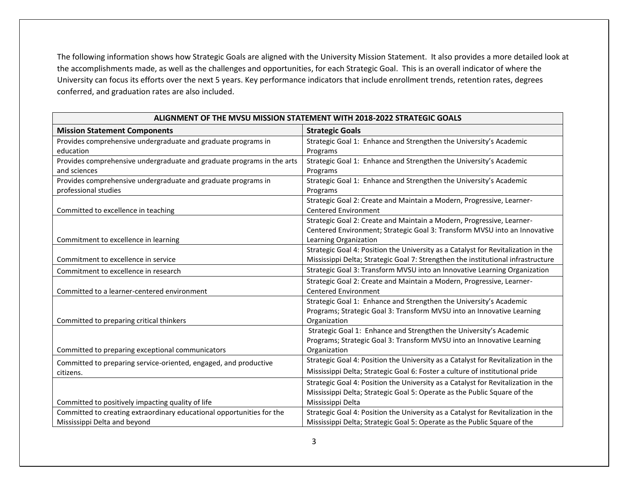The following information shows how Strategic Goals are aligned with the University Mission Statement. It also provides a more detailed look at the accomplishments made, as well as the challenges and opportunities, for each Strategic Goal. This is an overall indicator of where the University can focus its efforts over the next 5 years. Key performance indicators that include enrollment trends, retention rates, degrees conferred, and graduation rates are also included.

| ALIGNMENT OF THE MVSU MISSION STATEMENT WITH 2018-2022 STRATEGIC GOALS |                                                                                   |  |
|------------------------------------------------------------------------|-----------------------------------------------------------------------------------|--|
| <b>Mission Statement Components</b>                                    | <b>Strategic Goals</b>                                                            |  |
| Provides comprehensive undergraduate and graduate programs in          | Strategic Goal 1: Enhance and Strengthen the University's Academic                |  |
| education                                                              | Programs                                                                          |  |
| Provides comprehensive undergraduate and graduate programs in the arts | Strategic Goal 1: Enhance and Strengthen the University's Academic                |  |
| and sciences                                                           | Programs                                                                          |  |
| Provides comprehensive undergraduate and graduate programs in          | Strategic Goal 1: Enhance and Strengthen the University's Academic                |  |
| professional studies                                                   | Programs                                                                          |  |
|                                                                        | Strategic Goal 2: Create and Maintain a Modern, Progressive, Learner-             |  |
| Committed to excellence in teaching                                    | <b>Centered Environment</b>                                                       |  |
|                                                                        | Strategic Goal 2: Create and Maintain a Modern, Progressive, Learner-             |  |
|                                                                        | Centered Environment; Strategic Goal 3: Transform MVSU into an Innovative         |  |
| Commitment to excellence in learning                                   | Learning Organization                                                             |  |
|                                                                        | Strategic Goal 4: Position the University as a Catalyst for Revitalization in the |  |
| Commitment to excellence in service                                    | Mississippi Delta; Strategic Goal 7: Strengthen the institutional infrastructure  |  |
| Commitment to excellence in research                                   | Strategic Goal 3: Transform MVSU into an Innovative Learning Organization         |  |
|                                                                        | Strategic Goal 2: Create and Maintain a Modern, Progressive, Learner-             |  |
| Committed to a learner-centered environment                            | <b>Centered Environment</b>                                                       |  |
|                                                                        | Strategic Goal 1: Enhance and Strengthen the University's Academic                |  |
|                                                                        | Programs; Strategic Goal 3: Transform MVSU into an Innovative Learning            |  |
| Committed to preparing critical thinkers                               | Organization                                                                      |  |
|                                                                        | Strategic Goal 1: Enhance and Strengthen the University's Academic                |  |
|                                                                        | Programs; Strategic Goal 3: Transform MVSU into an Innovative Learning            |  |
| Committed to preparing exceptional communicators                       | Organization                                                                      |  |
| Committed to preparing service-oriented, engaged, and productive       | Strategic Goal 4: Position the University as a Catalyst for Revitalization in the |  |
| citizens.                                                              | Mississippi Delta; Strategic Goal 6: Foster a culture of institutional pride      |  |
|                                                                        | Strategic Goal 4: Position the University as a Catalyst for Revitalization in the |  |
|                                                                        | Mississippi Delta; Strategic Goal 5: Operate as the Public Square of the          |  |
| Committed to positively impacting quality of life                      | Mississippi Delta                                                                 |  |
| Committed to creating extraordinary educational opportunities for the  | Strategic Goal 4: Position the University as a Catalyst for Revitalization in the |  |
| Mississippi Delta and beyond                                           | Mississippi Delta; Strategic Goal 5: Operate as the Public Square of the          |  |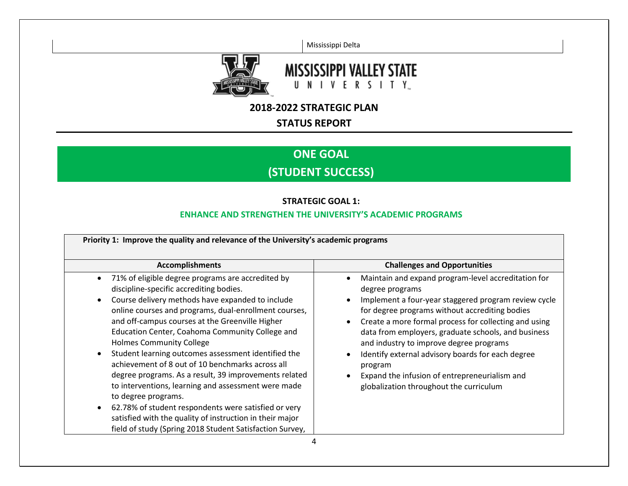Mississippi Delta



# **MISSISSIPPI VALLEY STATE** UNIVERSITY

## **2018-2022 STRATEGIC PLAN**

## **STATUS REPORT**

# **ONE GOAL (STUDENT SUCCESS)**

## **STRATEGIC GOAL 1:**

## **ENHANCE AND STRENGTHEN THE UNIVERSITY'S ACADEMIC PROGRAMS**

| Priority 1: Improve the quality and relevance of the University's academic programs<br><b>Challenges and Opportunities</b><br><b>Accomplishments</b>                                                                                                                                                                                                                                                                                                                                                                                                                                                                                                                                                                                                                                                                                     |                                                                                                                                                                                                                                                                                                                                                                                                                                                                                                                                                             |
|------------------------------------------------------------------------------------------------------------------------------------------------------------------------------------------------------------------------------------------------------------------------------------------------------------------------------------------------------------------------------------------------------------------------------------------------------------------------------------------------------------------------------------------------------------------------------------------------------------------------------------------------------------------------------------------------------------------------------------------------------------------------------------------------------------------------------------------|-------------------------------------------------------------------------------------------------------------------------------------------------------------------------------------------------------------------------------------------------------------------------------------------------------------------------------------------------------------------------------------------------------------------------------------------------------------------------------------------------------------------------------------------------------------|
| 71% of eligible degree programs are accredited by<br>$\bullet$<br>discipline-specific accrediting bodies.<br>Course delivery methods have expanded to include<br>$\bullet$<br>online courses and programs, dual-enrollment courses,<br>and off-campus courses at the Greenville Higher<br>Education Center, Coahoma Community College and<br><b>Holmes Community College</b><br>Student learning outcomes assessment identified the<br>$\bullet$<br>achievement of 8 out of 10 benchmarks across all<br>degree programs. As a result, 39 improvements related<br>to interventions, learning and assessment were made<br>to degree programs.<br>62.78% of student respondents were satisfied or very<br>$\bullet$<br>satisfied with the quality of instruction in their major<br>field of study (Spring 2018 Student Satisfaction Survey, | Maintain and expand program-level accreditation for<br>$\bullet$<br>degree programs<br>Implement a four-year staggered program review cycle<br>$\bullet$<br>for degree programs without accrediting bodies<br>Create a more formal process for collecting and using<br>$\bullet$<br>data from employers, graduate schools, and business<br>and industry to improve degree programs<br>Identify external advisory boards for each degree<br>$\bullet$<br>program<br>Expand the infusion of entrepreneurialism and<br>globalization throughout the curriculum |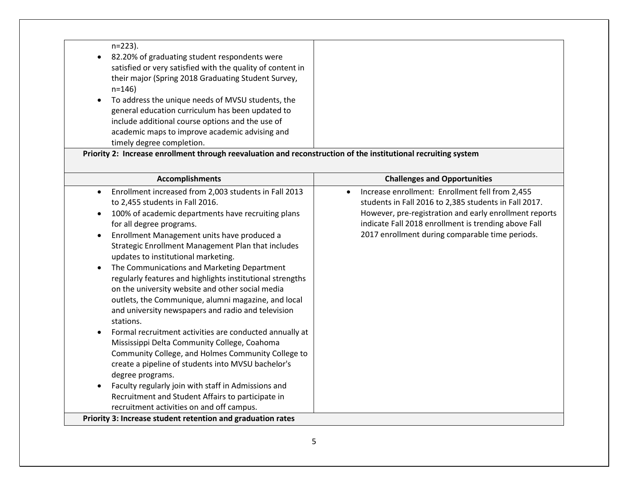| $n=223$ ).                                                 |  |
|------------------------------------------------------------|--|
| 82.20% of graduating student respondents were              |  |
| satisfied or very satisfied with the quality of content in |  |
| their major (Spring 2018 Graduating Student Survey,        |  |
| $n = 146$                                                  |  |
| To address the unique needs of MVSU students, the          |  |
| general education curriculum has been updated to           |  |
| include additional course options and the use of           |  |
| academic maps to improve academic advising and             |  |
| timely degree completion.                                  |  |

**Priority 2: Increase enrollment through reevaluation and reconstruction of the institutional recruiting system**

| <b>Accomplishments</b>                                                                                                                                                                                                                                                                                                                                                                                                                                                                                                                                                                                                                                                                                                                                                                                                                                                                                                                                                                                                                                                                                         | <b>Challenges and Opportunities</b>                                                                                                                                                                                                                                           |
|----------------------------------------------------------------------------------------------------------------------------------------------------------------------------------------------------------------------------------------------------------------------------------------------------------------------------------------------------------------------------------------------------------------------------------------------------------------------------------------------------------------------------------------------------------------------------------------------------------------------------------------------------------------------------------------------------------------------------------------------------------------------------------------------------------------------------------------------------------------------------------------------------------------------------------------------------------------------------------------------------------------------------------------------------------------------------------------------------------------|-------------------------------------------------------------------------------------------------------------------------------------------------------------------------------------------------------------------------------------------------------------------------------|
| Enrollment increased from 2,003 students in Fall 2013<br>to 2,455 students in Fall 2016.<br>100% of academic departments have recruiting plans<br>for all degree programs.<br>Enrollment Management units have produced a<br>$\bullet$<br>Strategic Enrollment Management Plan that includes<br>updates to institutional marketing.<br>The Communications and Marketing Department<br>$\epsilon$<br>regularly features and highlights institutional strengths<br>on the university website and other social media<br>outlets, the Communique, alumni magazine, and local<br>and university newspapers and radio and television<br>stations.<br>Formal recruitment activities are conducted annually at<br>Mississippi Delta Community College, Coahoma<br>Community College, and Holmes Community College to<br>create a pipeline of students into MVSU bachelor's<br>degree programs.<br>Faculty regularly join with staff in Admissions and<br>Recruitment and Student Affairs to participate in<br>recruitment activities on and off campus.<br>Priority 3: Increase student retention and graduation rates | Increase enrollment: Enrollment fell from 2,455<br>students in Fall 2016 to 2,385 students in Fall 2017.<br>However, pre-registration and early enrollment reports<br>indicate Fall 2018 enrollment is trending above Fall<br>2017 enrollment during comparable time periods. |
|                                                                                                                                                                                                                                                                                                                                                                                                                                                                                                                                                                                                                                                                                                                                                                                                                                                                                                                                                                                                                                                                                                                |                                                                                                                                                                                                                                                                               |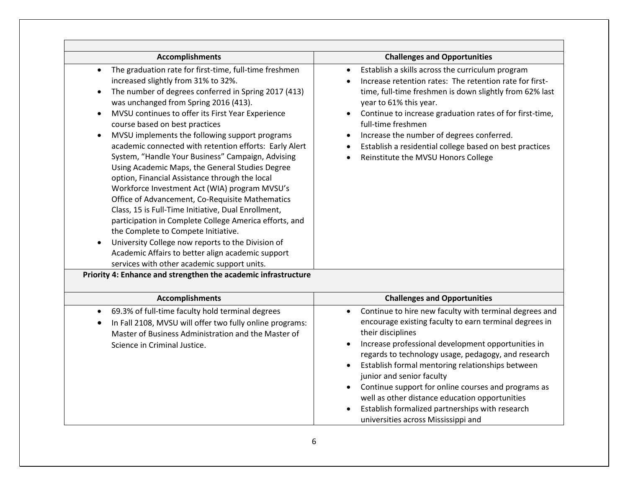| <b>Accomplishments</b>                                                                                                                                                                                                                                                                                                                                                                                                                                                                                                                                                                                                                                                                                                                                                                                                                                                                                                                                                                                                  | <b>Challenges and Opportunities</b>                                                                                                                                                                                                                                                                                                                                                                                                                                                                                                                 |
|-------------------------------------------------------------------------------------------------------------------------------------------------------------------------------------------------------------------------------------------------------------------------------------------------------------------------------------------------------------------------------------------------------------------------------------------------------------------------------------------------------------------------------------------------------------------------------------------------------------------------------------------------------------------------------------------------------------------------------------------------------------------------------------------------------------------------------------------------------------------------------------------------------------------------------------------------------------------------------------------------------------------------|-----------------------------------------------------------------------------------------------------------------------------------------------------------------------------------------------------------------------------------------------------------------------------------------------------------------------------------------------------------------------------------------------------------------------------------------------------------------------------------------------------------------------------------------------------|
| The graduation rate for first-time, full-time freshmen<br>increased slightly from 31% to 32%.<br>The number of degrees conferred in Spring 2017 (413)<br>$\bullet$<br>was unchanged from Spring 2016 (413).<br>MVSU continues to offer its First Year Experience<br>$\bullet$<br>course based on best practices<br>MVSU implements the following support programs<br>$\bullet$<br>academic connected with retention efforts: Early Alert<br>System, "Handle Your Business" Campaign, Advising<br>Using Academic Maps, the General Studies Degree<br>option, Financial Assistance through the local<br>Workforce Investment Act (WIA) program MVSU's<br>Office of Advancement, Co-Requisite Mathematics<br>Class, 15 is Full-Time Initiative, Dual Enrollment,<br>participation in Complete College America efforts, and<br>the Complete to Compete Initiative.<br>University College now reports to the Division of<br>Academic Affairs to better align academic support<br>services with other academic support units. | Establish a skills across the curriculum program<br>Increase retention rates: The retention rate for first-<br>time, full-time freshmen is down slightly from 62% last<br>year to 61% this year.<br>Continue to increase graduation rates of for first-time,<br>$\bullet$<br>full-time freshmen<br>Increase the number of degrees conferred.<br>Establish a residential college based on best practices<br>$\bullet$<br>Reinstitute the MVSU Honors College                                                                                         |
| Priority 4: Enhance and strengthen the academic infrastructure                                                                                                                                                                                                                                                                                                                                                                                                                                                                                                                                                                                                                                                                                                                                                                                                                                                                                                                                                          |                                                                                                                                                                                                                                                                                                                                                                                                                                                                                                                                                     |
|                                                                                                                                                                                                                                                                                                                                                                                                                                                                                                                                                                                                                                                                                                                                                                                                                                                                                                                                                                                                                         |                                                                                                                                                                                                                                                                                                                                                                                                                                                                                                                                                     |
| <b>Accomplishments</b>                                                                                                                                                                                                                                                                                                                                                                                                                                                                                                                                                                                                                                                                                                                                                                                                                                                                                                                                                                                                  | <b>Challenges and Opportunities</b>                                                                                                                                                                                                                                                                                                                                                                                                                                                                                                                 |
| 69.3% of full-time faculty hold terminal degrees<br>$\bullet$<br>In Fall 2108, MVSU will offer two fully online programs:<br>Master of Business Administration and the Master of<br>Science in Criminal Justice.                                                                                                                                                                                                                                                                                                                                                                                                                                                                                                                                                                                                                                                                                                                                                                                                        | Continue to hire new faculty with terminal degrees and<br>encourage existing faculty to earn terminal degrees in<br>their disciplines<br>Increase professional development opportunities in<br>regards to technology usage, pedagogy, and research<br>Establish formal mentoring relationships between<br>junior and senior faculty<br>Continue support for online courses and programs as<br>$\bullet$<br>well as other distance education opportunities<br>Establish formalized partnerships with research<br>universities across Mississippi and |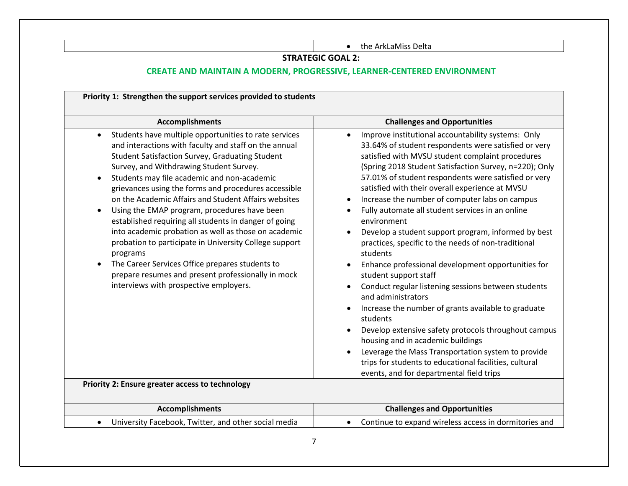• the ArkLaMiss Delta

### **STRATEGIC GOAL 2:**

## **CREATE AND MAINTAIN A MODERN, PROGRESSIVE, LEARNER-CENTERED ENVIRONMENT**

| <b>Accomplishments</b>                                                                                                                                                                                                                                                                                                                                                                                                                                                                                                                                                                                                                                                                                                                                                                                                                             | <b>Challenges and Opportunities</b>                                                                                                                                                                                                                                                                                                                                                                                                                                                                                                                                                                                                                                                                                                                                                                                                                                                                                                                                                                                                                                                                                            |
|----------------------------------------------------------------------------------------------------------------------------------------------------------------------------------------------------------------------------------------------------------------------------------------------------------------------------------------------------------------------------------------------------------------------------------------------------------------------------------------------------------------------------------------------------------------------------------------------------------------------------------------------------------------------------------------------------------------------------------------------------------------------------------------------------------------------------------------------------|--------------------------------------------------------------------------------------------------------------------------------------------------------------------------------------------------------------------------------------------------------------------------------------------------------------------------------------------------------------------------------------------------------------------------------------------------------------------------------------------------------------------------------------------------------------------------------------------------------------------------------------------------------------------------------------------------------------------------------------------------------------------------------------------------------------------------------------------------------------------------------------------------------------------------------------------------------------------------------------------------------------------------------------------------------------------------------------------------------------------------------|
| Students have multiple opportunities to rate services<br>and interactions with faculty and staff on the annual<br>Student Satisfaction Survey, Graduating Student<br>Survey, and Withdrawing Student Survey.<br>Students may file academic and non-academic<br>$\bullet$<br>grievances using the forms and procedures accessible<br>on the Academic Affairs and Student Affairs websites<br>Using the EMAP program, procedures have been<br>$\bullet$<br>established requiring all students in danger of going<br>into academic probation as well as those on academic<br>probation to participate in University College support<br>programs<br>The Career Services Office prepares students to<br>prepare resumes and present professionally in mock<br>interviews with prospective employers.<br>Priority 2: Ensure greater access to technology | Improve institutional accountability systems: Only<br>33.64% of student respondents were satisfied or very<br>satisfied with MVSU student complaint procedures<br>(Spring 2018 Student Satisfaction Survey, n=220); Only<br>57.01% of student respondents were satisfied or very<br>satisfied with their overall experience at MVSU<br>Increase the number of computer labs on campus<br>$\bullet$<br>Fully automate all student services in an online<br>environment<br>Develop a student support program, informed by best<br>$\bullet$<br>practices, specific to the needs of non-traditional<br>students<br>Enhance professional development opportunities for<br>student support staff<br>Conduct regular listening sessions between students<br>$\bullet$<br>and administrators<br>Increase the number of grants available to graduate<br>students<br>Develop extensive safety protocols throughout campus<br>housing and in academic buildings<br>Leverage the Mass Transportation system to provide<br>$\bullet$<br>trips for students to educational facilities, cultural<br>events, and for departmental field trips |
| <b>Accomplishments</b>                                                                                                                                                                                                                                                                                                                                                                                                                                                                                                                                                                                                                                                                                                                                                                                                                             | <b>Challenges and Opportunities</b>                                                                                                                                                                                                                                                                                                                                                                                                                                                                                                                                                                                                                                                                                                                                                                                                                                                                                                                                                                                                                                                                                            |
|                                                                                                                                                                                                                                                                                                                                                                                                                                                                                                                                                                                                                                                                                                                                                                                                                                                    |                                                                                                                                                                                                                                                                                                                                                                                                                                                                                                                                                                                                                                                                                                                                                                                                                                                                                                                                                                                                                                                                                                                                |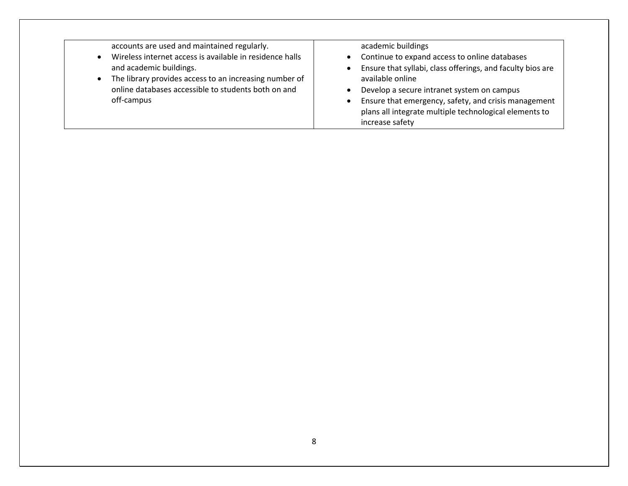accounts are used and maintained regularly.

- Wireless internet access is available in residence halls and academic buildings.
- The library provides access to an increasing number of online databases accessible to students both on and off-campus

academic buildings

- Continue to expand access to online databases
- Ensure that syllabi, class offerings, and faculty bios are available online
- Develop a secure intranet system on campus
- Ensure that emergency, safety, and crisis management plans all integrate multiple technological elements to increase safety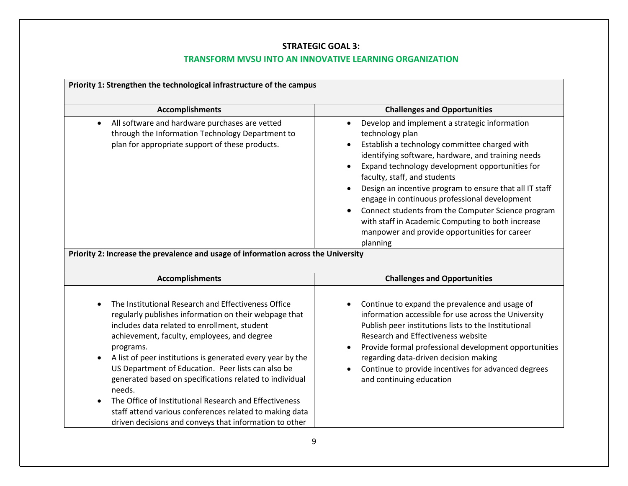## **STRATEGIC GOAL 3:**

## **TRANSFORM MVSU INTO AN INNOVATIVE LEARNING ORGANIZATION**

| Priority 1: Strengthen the technological infrastructure of the campus                                                                                                                                                                                                                                                                                                                                                                                                                                                                                                                            |                                                                                                                                                                                                                                                                                                                                                                                                                                                                                                                                                             |  |
|--------------------------------------------------------------------------------------------------------------------------------------------------------------------------------------------------------------------------------------------------------------------------------------------------------------------------------------------------------------------------------------------------------------------------------------------------------------------------------------------------------------------------------------------------------------------------------------------------|-------------------------------------------------------------------------------------------------------------------------------------------------------------------------------------------------------------------------------------------------------------------------------------------------------------------------------------------------------------------------------------------------------------------------------------------------------------------------------------------------------------------------------------------------------------|--|
| <b>Accomplishments</b>                                                                                                                                                                                                                                                                                                                                                                                                                                                                                                                                                                           | <b>Challenges and Opportunities</b>                                                                                                                                                                                                                                                                                                                                                                                                                                                                                                                         |  |
| All software and hardware purchases are vetted<br>$\bullet$<br>through the Information Technology Department to<br>plan for appropriate support of these products.                                                                                                                                                                                                                                                                                                                                                                                                                               | Develop and implement a strategic information<br>$\bullet$<br>technology plan<br>Establish a technology committee charged with<br>identifying software, hardware, and training needs<br>Expand technology development opportunities for<br>faculty, staff, and students<br>Design an incentive program to ensure that all IT staff<br>engage in continuous professional development<br>Connect students from the Computer Science program<br>with staff in Academic Computing to both increase<br>manpower and provide opportunities for career<br>planning |  |
| Priority 2: Increase the prevalence and usage of information across the University                                                                                                                                                                                                                                                                                                                                                                                                                                                                                                               |                                                                                                                                                                                                                                                                                                                                                                                                                                                                                                                                                             |  |
| <b>Accomplishments</b>                                                                                                                                                                                                                                                                                                                                                                                                                                                                                                                                                                           | <b>Challenges and Opportunities</b>                                                                                                                                                                                                                                                                                                                                                                                                                                                                                                                         |  |
| The Institutional Research and Effectiveness Office<br>regularly publishes information on their webpage that<br>includes data related to enrollment, student<br>achievement, faculty, employees, and degree<br>programs.<br>A list of peer institutions is generated every year by the<br>US Department of Education. Peer lists can also be<br>generated based on specifications related to individual<br>needs.<br>The Office of Institutional Research and Effectiveness<br>staff attend various conferences related to making data<br>driven decisions and conveys that information to other | Continue to expand the prevalence and usage of<br>information accessible for use across the University<br>Publish peer institutions lists to the Institutional<br>Research and Effectiveness website<br>Provide formal professional development opportunities<br>regarding data-driven decision making<br>Continue to provide incentives for advanced degrees<br>and continuing education                                                                                                                                                                   |  |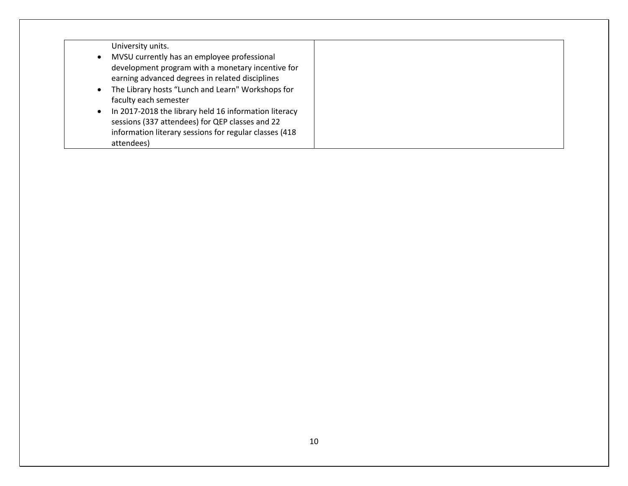| University units.                                                  |  |
|--------------------------------------------------------------------|--|
| MVSU currently has an employee professional                        |  |
| development program with a monetary incentive for                  |  |
| earning advanced degrees in related disciplines                    |  |
| The Library hosts "Lunch and Learn" Workshops for<br>$\bullet$     |  |
| faculty each semester                                              |  |
| In 2017-2018 the library held 16 information literacy<br>$\bullet$ |  |
| sessions (337 attendees) for QEP classes and 22                    |  |
| information literary sessions for regular classes (418             |  |
| attendees)                                                         |  |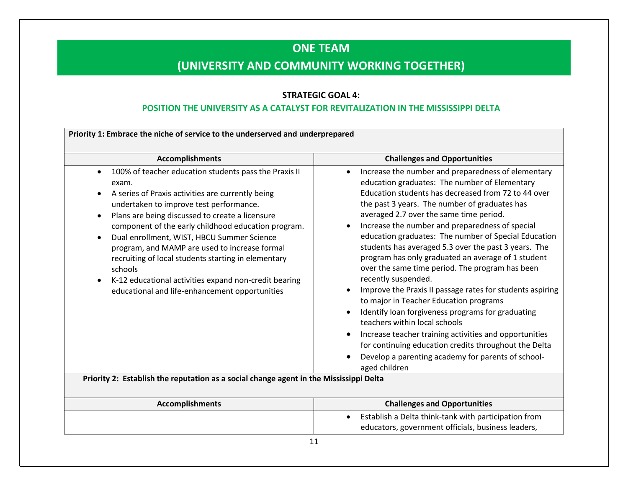# **ONE TEAM**

# **(UNIVERSITY AND COMMUNITY WORKING TOGETHER)**

### **STRATEGIC GOAL 4:**

### **POSITION THE UNIVERSITY AS A CATALYST FOR REVITALIZATION IN THE MISSISSIPPI DELTA**

| <b>Accomplishments</b>                                                                                                                                                                                                                                                                                                                                                                                                                                                                                                                                                                                                | <b>Challenges and Opportunities</b>                                                                                                                                                                                                                                                                                                                                                                                                                                                                                                                                                                                                                                                                                                                                                                                                                                                                                                                           |
|-----------------------------------------------------------------------------------------------------------------------------------------------------------------------------------------------------------------------------------------------------------------------------------------------------------------------------------------------------------------------------------------------------------------------------------------------------------------------------------------------------------------------------------------------------------------------------------------------------------------------|---------------------------------------------------------------------------------------------------------------------------------------------------------------------------------------------------------------------------------------------------------------------------------------------------------------------------------------------------------------------------------------------------------------------------------------------------------------------------------------------------------------------------------------------------------------------------------------------------------------------------------------------------------------------------------------------------------------------------------------------------------------------------------------------------------------------------------------------------------------------------------------------------------------------------------------------------------------|
| 100% of teacher education students pass the Praxis II<br>$\bullet$<br>exam.<br>A series of Praxis activities are currently being<br>$\bullet$<br>undertaken to improve test performance.<br>Plans are being discussed to create a licensure<br>$\bullet$<br>component of the early childhood education program.<br>Dual enrollment, WIST, HBCU Summer Science<br>$\bullet$<br>program, and MAMP are used to increase formal<br>recruiting of local students starting in elementary<br>schools<br>K-12 educational activities expand non-credit bearing<br>$\bullet$<br>educational and life-enhancement opportunities | Increase the number and preparedness of elementary<br>$\bullet$<br>education graduates: The number of Elementary<br>Education students has decreased from 72 to 44 over<br>the past 3 years. The number of graduates has<br>averaged 2.7 over the same time period.<br>Increase the number and preparedness of special<br>education graduates: The number of Special Education<br>students has averaged 5.3 over the past 3 years. The<br>program has only graduated an average of 1 student<br>over the same time period. The program has been<br>recently suspended.<br>Improve the Praxis II passage rates for students aspiring<br>to major in Teacher Education programs<br>Identify loan forgiveness programs for graduating<br>teachers within local schools<br>Increase teacher training activities and opportunities<br>for continuing education credits throughout the Delta<br>Develop a parenting academy for parents of school-<br>aged children |

| <b>Accomplishments</b> | <b>Challenges and Opportunities</b>                  |
|------------------------|------------------------------------------------------|
|                        | Establish a Delta think-tank with participation from |
|                        | educators, government officials, business leaders,   |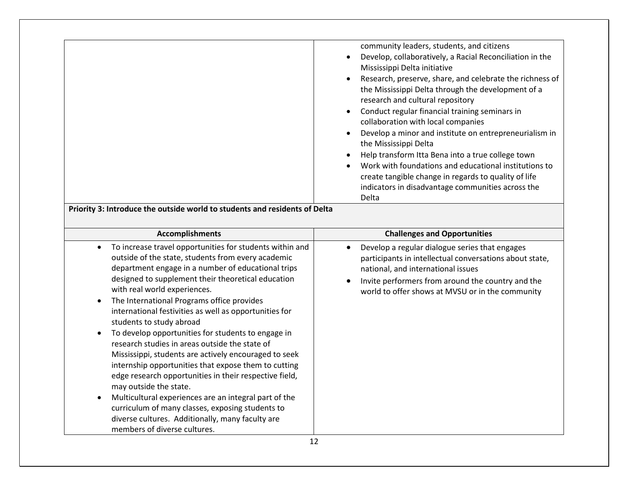|       | Research, preserve, share, and celebrate the richness of<br>the Mississippi Delta through the development of a<br>research and cultural repository<br>Conduct regular financial training seminars in<br>collaboration with local companies<br>Develop a minor and institute on entrepreneurialism in<br>the Mississippi Delta<br>Help transform Itta Bena into a true college town<br>Work with foundations and educational institutions to |
|-------|---------------------------------------------------------------------------------------------------------------------------------------------------------------------------------------------------------------------------------------------------------------------------------------------------------------------------------------------------------------------------------------------------------------------------------------------|
| Delta | create tangible change in regards to quality of life<br>indicators in disadvantage communities across the                                                                                                                                                                                                                                                                                                                                   |

**Priority 3: Introduce the outside world to students and residents of Delta**

| <b>Accomplishments</b>                                                                                                                                                                                                                                                                                                                                                                                                                                                                                                                                                                                                                                                                                                                                                                                                                                                                                                                              | <b>Challenges and Opportunities</b>                                                                                                                                                                                                                      |
|-----------------------------------------------------------------------------------------------------------------------------------------------------------------------------------------------------------------------------------------------------------------------------------------------------------------------------------------------------------------------------------------------------------------------------------------------------------------------------------------------------------------------------------------------------------------------------------------------------------------------------------------------------------------------------------------------------------------------------------------------------------------------------------------------------------------------------------------------------------------------------------------------------------------------------------------------------|----------------------------------------------------------------------------------------------------------------------------------------------------------------------------------------------------------------------------------------------------------|
| To increase travel opportunities for students within and<br>$\bullet$<br>outside of the state, students from every academic<br>department engage in a number of educational trips<br>designed to supplement their theoretical education<br>with real world experiences.<br>The International Programs office provides<br>$\bullet$<br>international festivities as well as opportunities for<br>students to study abroad<br>To develop opportunities for students to engage in<br>research studies in areas outside the state of<br>Mississippi, students are actively encouraged to seek<br>internship opportunities that expose them to cutting<br>edge research opportunities in their respective field,<br>may outside the state.<br>Multicultural experiences are an integral part of the<br>$\bullet$<br>curriculum of many classes, exposing students to<br>diverse cultures. Additionally, many faculty are<br>members of diverse cultures. | Develop a regular dialogue series that engages<br>participants in intellectual conversations about state,<br>national, and international issues<br>Invite performers from around the country and the<br>world to offer shows at MVSU or in the community |
|                                                                                                                                                                                                                                                                                                                                                                                                                                                                                                                                                                                                                                                                                                                                                                                                                                                                                                                                                     |                                                                                                                                                                                                                                                          |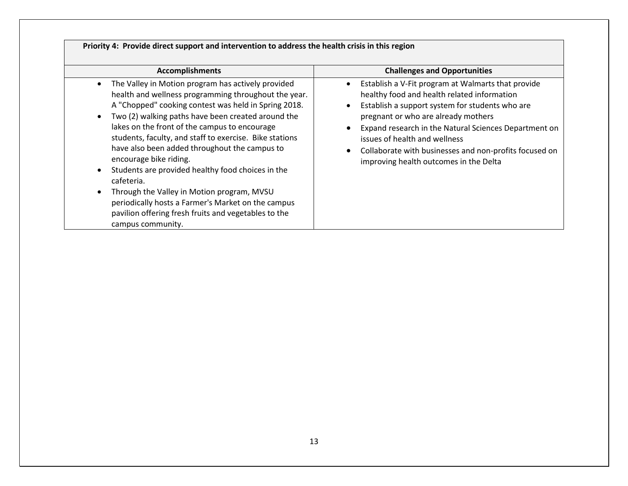| <b>Accomplishments</b>                                                                                                                                                                                                                                                                                                                                                                                                                                                                                                                                                                                                                                                                                                  | <b>Challenges and Opportunities</b>                                                                                                                                                                                                                                                                                                                                                       |
|-------------------------------------------------------------------------------------------------------------------------------------------------------------------------------------------------------------------------------------------------------------------------------------------------------------------------------------------------------------------------------------------------------------------------------------------------------------------------------------------------------------------------------------------------------------------------------------------------------------------------------------------------------------------------------------------------------------------------|-------------------------------------------------------------------------------------------------------------------------------------------------------------------------------------------------------------------------------------------------------------------------------------------------------------------------------------------------------------------------------------------|
| The Valley in Motion program has actively provided<br>$\bullet$<br>health and wellness programming throughout the year.<br>A "Chopped" cooking contest was held in Spring 2018.<br>Two (2) walking paths have been created around the<br>$\bullet$<br>lakes on the front of the campus to encourage<br>students, faculty, and staff to exercise. Bike stations<br>have also been added throughout the campus to<br>encourage bike riding.<br>Students are provided healthy food choices in the<br>$\bullet$<br>cafeteria.<br>Through the Valley in Motion program, MVSU<br>$\bullet$<br>periodically hosts a Farmer's Market on the campus<br>pavilion offering fresh fruits and vegetables to the<br>campus community. | Establish a V-Fit program at Walmarts that provide<br>healthy food and health related information<br>Establish a support system for students who are<br>pregnant or who are already mothers<br>Expand research in the Natural Sciences Department on<br>issues of health and wellness<br>Collaborate with businesses and non-profits focused on<br>improving health outcomes in the Delta |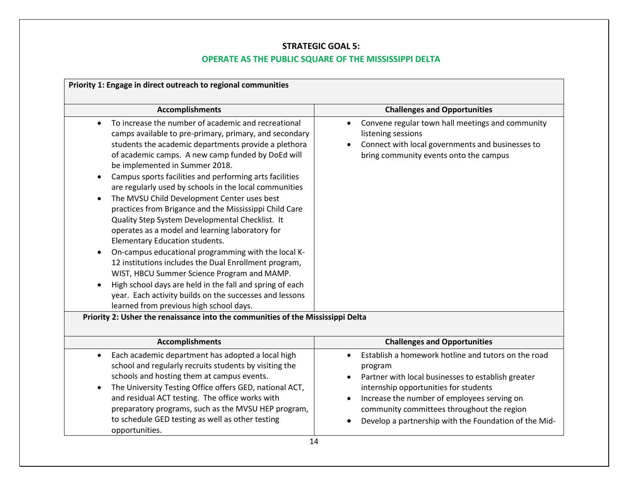## **STRATEGIC GOAL 5:**

## **OPERATE AS THE PUBLIC SQUARE OF THE MISSISSIPPI DELTA**

| Priority 1: Engage in direct outreach to regional communities                                                                                                                                                                                                                                                                                                                                                                                                                                                                                                                                                                                                                                                                                                                                                                                                                                                                                                       |                                                                                                                                                                                                                                                                                                                     |  |  |  |  |  |  |  |
|---------------------------------------------------------------------------------------------------------------------------------------------------------------------------------------------------------------------------------------------------------------------------------------------------------------------------------------------------------------------------------------------------------------------------------------------------------------------------------------------------------------------------------------------------------------------------------------------------------------------------------------------------------------------------------------------------------------------------------------------------------------------------------------------------------------------------------------------------------------------------------------------------------------------------------------------------------------------|---------------------------------------------------------------------------------------------------------------------------------------------------------------------------------------------------------------------------------------------------------------------------------------------------------------------|--|--|--|--|--|--|--|
| <b>Accomplishments</b>                                                                                                                                                                                                                                                                                                                                                                                                                                                                                                                                                                                                                                                                                                                                                                                                                                                                                                                                              | <b>Challenges and Opportunities</b>                                                                                                                                                                                                                                                                                 |  |  |  |  |  |  |  |
| To increase the number of academic and recreational<br>camps available to pre-primary, primary, and secondary<br>students the academic departments provide a plethora<br>of academic camps. A new camp funded by DoEd will<br>be implemented in Summer 2018.<br>Campus sports facilities and performing arts facilities<br>are regularly used by schools in the local communities<br>The MVSU Child Development Center uses best<br>practices from Brigance and the Mississippi Child Care<br>Quality Step System Developmental Checklist. It<br>operates as a model and learning laboratory for<br>Elementary Education students.<br>On-campus educational programming with the local K-<br>12 institutions includes the Dual Enrollment program,<br>WIST, HBCU Summer Science Program and MAMP.<br>High school days are held in the fall and spring of each<br>year. Each activity builds on the successes and lessons<br>learned from previous high school days. | Convene regular town hall meetings and community<br>$\bullet$<br>listening sessions<br>Connect with local governments and businesses to<br>bring community events onto the campus                                                                                                                                   |  |  |  |  |  |  |  |
| Priority 2: Usher the renaissance into the communities of the Mississippi Delta                                                                                                                                                                                                                                                                                                                                                                                                                                                                                                                                                                                                                                                                                                                                                                                                                                                                                     |                                                                                                                                                                                                                                                                                                                     |  |  |  |  |  |  |  |
| <b>Accomplishments</b>                                                                                                                                                                                                                                                                                                                                                                                                                                                                                                                                                                                                                                                                                                                                                                                                                                                                                                                                              | <b>Challenges and Opportunities</b>                                                                                                                                                                                                                                                                                 |  |  |  |  |  |  |  |
| Each academic department has adopted a local high<br>$\bullet$<br>school and regularly recruits students by visiting the<br>schools and hosting them at campus events.<br>The University Testing Office offers GED, national ACT,<br>and residual ACT testing. The office works with<br>preparatory programs, such as the MVSU HEP program,<br>to schedule GED testing as well as other testing<br>opportunities.                                                                                                                                                                                                                                                                                                                                                                                                                                                                                                                                                   | Establish a homework hotline and tutors on the road<br>program<br>Partner with local businesses to establish greater<br>internship opportunities for students<br>Increase the number of employees serving on<br>community committees throughout the region<br>Develop a partnership with the Foundation of the Mid- |  |  |  |  |  |  |  |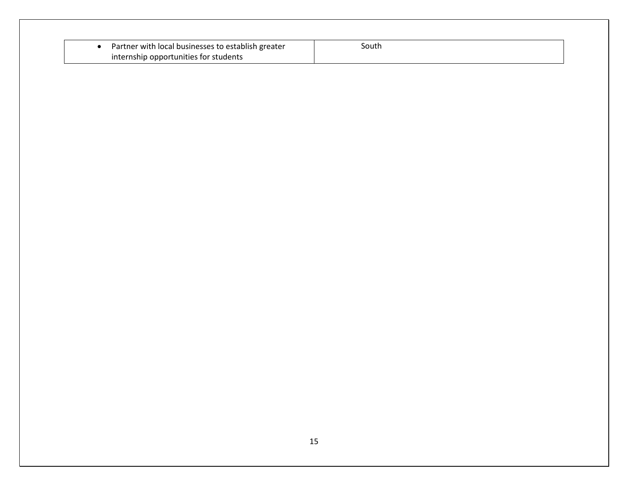| Partner with local businesses to establish greater | south |  |
|----------------------------------------------------|-------|--|
| internship opportunities for students              |       |  |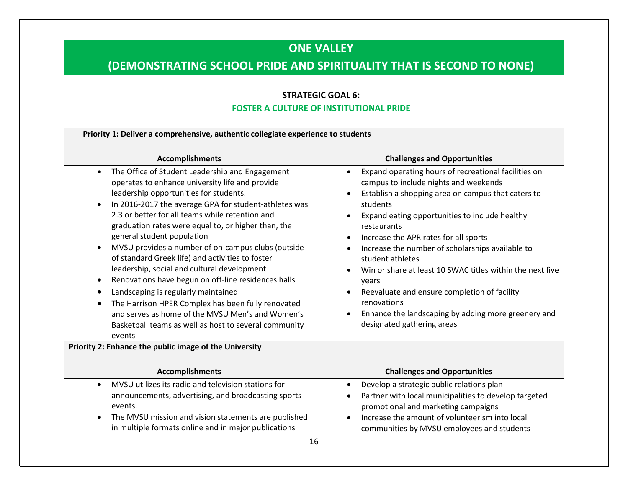## **ONE VALLEY**

# **(DEMONSTRATING SCHOOL PRIDE AND SPIRITUALITY THAT IS SECOND TO NONE)**

### **STRATEGIC GOAL 6:**

#### **FOSTER A CULTURE OF INSTITUTIONAL PRIDE**

| Priority 1: Deliver a comprehensive, authentic collegiate experience to students                                                                                                                                                                                                                                                                                                                                                                                                                                                                                                                                                                                                                                                                                                                                                                                |                                                                                                                                                                                                                                                                                                                                                                                                                                                                                                                                                                                                                                 |  |  |  |  |  |
|-----------------------------------------------------------------------------------------------------------------------------------------------------------------------------------------------------------------------------------------------------------------------------------------------------------------------------------------------------------------------------------------------------------------------------------------------------------------------------------------------------------------------------------------------------------------------------------------------------------------------------------------------------------------------------------------------------------------------------------------------------------------------------------------------------------------------------------------------------------------|---------------------------------------------------------------------------------------------------------------------------------------------------------------------------------------------------------------------------------------------------------------------------------------------------------------------------------------------------------------------------------------------------------------------------------------------------------------------------------------------------------------------------------------------------------------------------------------------------------------------------------|--|--|--|--|--|
| Accomplishments                                                                                                                                                                                                                                                                                                                                                                                                                                                                                                                                                                                                                                                                                                                                                                                                                                                 | <b>Challenges and Opportunities</b>                                                                                                                                                                                                                                                                                                                                                                                                                                                                                                                                                                                             |  |  |  |  |  |
| The Office of Student Leadership and Engagement<br>$\bullet$<br>operates to enhance university life and provide<br>leadership opportunities for students.<br>In 2016-2017 the average GPA for student-athletes was<br>$\bullet$<br>2.3 or better for all teams while retention and<br>graduation rates were equal to, or higher than, the<br>general student population<br>MVSU provides a number of on-campus clubs (outside<br>$\bullet$<br>of standard Greek life) and activities to foster<br>leadership, social and cultural development<br>Renovations have begun on off-line residences halls<br>$\bullet$<br>Landscaping is regularly maintained<br>$\bullet$<br>The Harrison HPER Complex has been fully renovated<br>$\bullet$<br>and serves as home of the MVSU Men's and Women's<br>Basketball teams as well as host to several community<br>events | Expand operating hours of recreational facilities on<br>$\bullet$<br>campus to include nights and weekends<br>Establish a shopping area on campus that caters to<br>students<br>Expand eating opportunities to include healthy<br>restaurants<br>Increase the APR rates for all sports<br>$\bullet$<br>Increase the number of scholarships available to<br>student athletes<br>Win or share at least 10 SWAC titles within the next five<br>years<br>Reevaluate and ensure completion of facility<br>$\bullet$<br>renovations<br>Enhance the landscaping by adding more greenery and<br>$\bullet$<br>designated gathering areas |  |  |  |  |  |
| Priority 2: Enhance the public image of the University                                                                                                                                                                                                                                                                                                                                                                                                                                                                                                                                                                                                                                                                                                                                                                                                          |                                                                                                                                                                                                                                                                                                                                                                                                                                                                                                                                                                                                                                 |  |  |  |  |  |
|                                                                                                                                                                                                                                                                                                                                                                                                                                                                                                                                                                                                                                                                                                                                                                                                                                                                 |                                                                                                                                                                                                                                                                                                                                                                                                                                                                                                                                                                                                                                 |  |  |  |  |  |
| <b>Accomplishments</b>                                                                                                                                                                                                                                                                                                                                                                                                                                                                                                                                                                                                                                                                                                                                                                                                                                          | <b>Challenges and Opportunities</b>                                                                                                                                                                                                                                                                                                                                                                                                                                                                                                                                                                                             |  |  |  |  |  |
| MVSU utilizes its radio and television stations for<br>$\bullet$<br>announcements, advertising, and broadcasting sports<br>events.<br>The MVSU mission and vision statements are published<br>$\bullet$<br>in multiple formats online and in major publications                                                                                                                                                                                                                                                                                                                                                                                                                                                                                                                                                                                                 | Develop a strategic public relations plan<br>$\bullet$<br>Partner with local municipalities to develop targeted<br>$\bullet$<br>promotional and marketing campaigns<br>Increase the amount of volunteerism into local<br>communities by MVSU employees and students                                                                                                                                                                                                                                                                                                                                                             |  |  |  |  |  |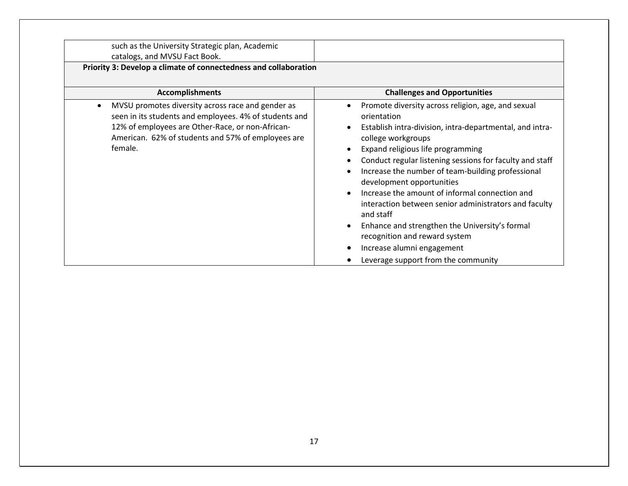such as the University Strategic plan, Academic catalogs, and MVSU Fact Book.

**Priority 3: Develop a climate of connectedness and collaboration**

| <b>Accomplishments</b>                                                                                                                                                                                                                        | <b>Challenges and Opportunities</b>                                                                                                                                                                                                                                                                                                                                                                                                                                                                                                                                                                                    |
|-----------------------------------------------------------------------------------------------------------------------------------------------------------------------------------------------------------------------------------------------|------------------------------------------------------------------------------------------------------------------------------------------------------------------------------------------------------------------------------------------------------------------------------------------------------------------------------------------------------------------------------------------------------------------------------------------------------------------------------------------------------------------------------------------------------------------------------------------------------------------------|
| MVSU promotes diversity across race and gender as<br>$\bullet$<br>seen in its students and employees. 4% of students and<br>12% of employees are Other-Race, or non-African-<br>American. 62% of students and 57% of employees are<br>female. | Promote diversity across religion, age, and sexual<br>orientation<br>Establish intra-division, intra-departmental, and intra-<br>college workgroups<br>Expand religious life programming<br>Conduct regular listening sessions for faculty and staff<br>Increase the number of team-building professional<br>development opportunities<br>Increase the amount of informal connection and<br>interaction between senior administrators and faculty<br>and staff<br>Enhance and strengthen the University's formal<br>recognition and reward system<br>Increase alumni engagement<br>Leverage support from the community |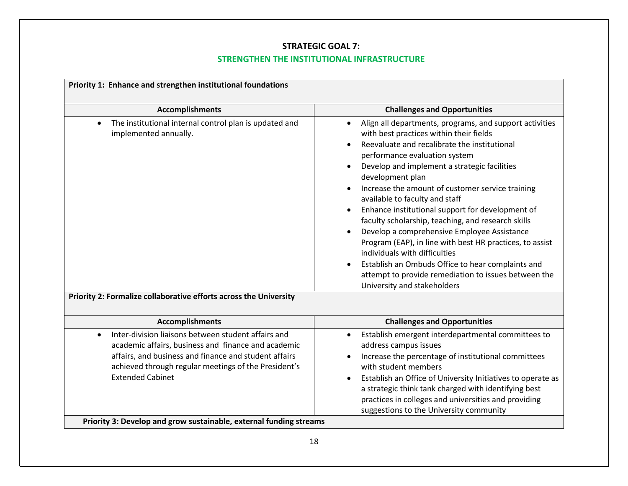## **STRATEGIC GOAL 7:**

## **STRENGTHEN THE INSTITUTIONAL INFRASTRUCTURE**

| Priority 1: Enhance and strengthen institutional foundations                                                                                                                                                                                                        |                                                                                                                                                                                                                                                                                                                                                                                                                                                                                                                                                                                                                                                                                                                                                                                                                  |
|---------------------------------------------------------------------------------------------------------------------------------------------------------------------------------------------------------------------------------------------------------------------|------------------------------------------------------------------------------------------------------------------------------------------------------------------------------------------------------------------------------------------------------------------------------------------------------------------------------------------------------------------------------------------------------------------------------------------------------------------------------------------------------------------------------------------------------------------------------------------------------------------------------------------------------------------------------------------------------------------------------------------------------------------------------------------------------------------|
| <b>Accomplishments</b>                                                                                                                                                                                                                                              | <b>Challenges and Opportunities</b>                                                                                                                                                                                                                                                                                                                                                                                                                                                                                                                                                                                                                                                                                                                                                                              |
| The institutional internal control plan is updated and<br>$\bullet$<br>implemented annually.<br>Priority 2: Formalize collaborative efforts across the University                                                                                                   | Align all departments, programs, and support activities<br>$\bullet$<br>with best practices within their fields<br>Reevaluate and recalibrate the institutional<br>$\bullet$<br>performance evaluation system<br>Develop and implement a strategic facilities<br>development plan<br>Increase the amount of customer service training<br>$\bullet$<br>available to faculty and staff<br>Enhance institutional support for development of<br>$\bullet$<br>faculty scholarship, teaching, and research skills<br>Develop a comprehensive Employee Assistance<br>Program (EAP), in line with best HR practices, to assist<br>individuals with difficulties<br>Establish an Ombuds Office to hear complaints and<br>$\bullet$<br>attempt to provide remediation to issues between the<br>University and stakeholders |
|                                                                                                                                                                                                                                                                     |                                                                                                                                                                                                                                                                                                                                                                                                                                                                                                                                                                                                                                                                                                                                                                                                                  |
| <b>Accomplishments</b>                                                                                                                                                                                                                                              | <b>Challenges and Opportunities</b>                                                                                                                                                                                                                                                                                                                                                                                                                                                                                                                                                                                                                                                                                                                                                                              |
| Inter-division liaisons between student affairs and<br>$\bullet$<br>academic affairs, business and finance and academic<br>affairs, and business and finance and student affairs<br>achieved through regular meetings of the President's<br><b>Extended Cabinet</b> | Establish emergent interdepartmental committees to<br>$\bullet$<br>address campus issues<br>Increase the percentage of institutional committees<br>$\bullet$<br>with student members<br>Establish an Office of University Initiatives to operate as<br>a strategic think tank charged with identifying best<br>practices in colleges and universities and providing<br>suggestions to the University community                                                                                                                                                                                                                                                                                                                                                                                                   |
| Priority 3: Develop and grow sustainable, external funding streams                                                                                                                                                                                                  |                                                                                                                                                                                                                                                                                                                                                                                                                                                                                                                                                                                                                                                                                                                                                                                                                  |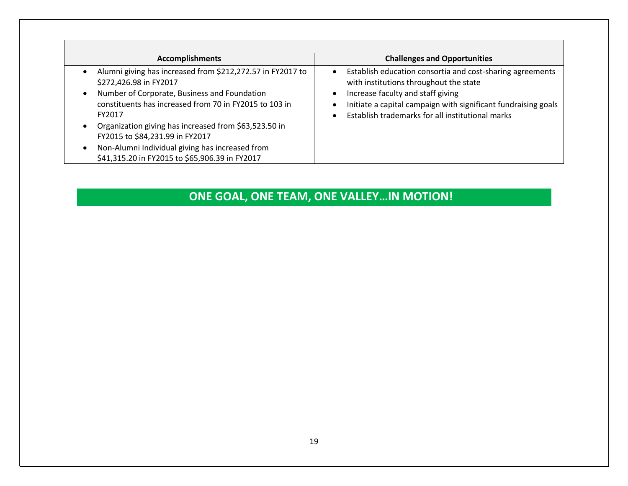| <b>Accomplishments</b>                                                                                                                                                                                                                                                                                                                                                                                    | <b>Challenges and Opportunities</b>                                                                                                                                                                                                                                                      |
|-----------------------------------------------------------------------------------------------------------------------------------------------------------------------------------------------------------------------------------------------------------------------------------------------------------------------------------------------------------------------------------------------------------|------------------------------------------------------------------------------------------------------------------------------------------------------------------------------------------------------------------------------------------------------------------------------------------|
| Alumni giving has increased from \$212,272.57 in FY2017 to<br>\$272,426.98 in FY2017<br>Number of Corporate, Business and Foundation<br>constituents has increased from 70 in FY2015 to 103 in<br>FY2017<br>Organization giving has increased from \$63,523.50 in<br>FY2015 to \$84,231.99 in FY2017<br>Non-Alumni Individual giving has increased from<br>\$41,315.20 in FY2015 to \$65,906.39 in FY2017 | Establish education consortia and cost-sharing agreements<br>$\bullet$<br>with institutions throughout the state<br>Increase faculty and staff giving<br>$\bullet$<br>Initiate a capital campaign with significant fundraising goals<br>Establish trademarks for all institutional marks |

# **ONE GOAL, ONE TEAM, ONE VALLEY…IN MOTION!**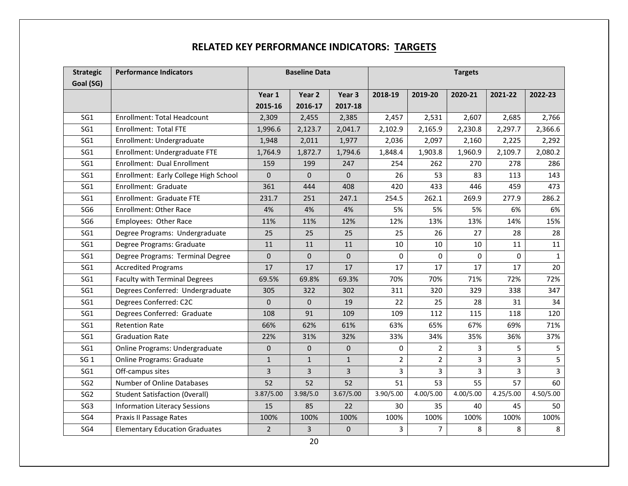## **RELATED KEY PERFORMANCE INDICATORS: TARGETS**

| <b>Strategic</b> | <b>Performance Indicators</b>         |                | <b>Baseline Data</b> |              | <b>Targets</b> |                |           |           |                |
|------------------|---------------------------------------|----------------|----------------------|--------------|----------------|----------------|-----------|-----------|----------------|
| Goal (SG)        |                                       |                |                      |              |                |                |           |           |                |
|                  |                                       | Year 1         | Year 2               | Year 3       | 2018-19        | 2019-20        | 2020-21   | 2021-22   | 2022-23        |
|                  |                                       | 2015-16        | 2016-17              | 2017-18      |                |                |           |           |                |
| SG1              | <b>Enrollment: Total Headcount</b>    | 2,309          | 2,455                | 2,385        | 2,457          | 2,531          | 2,607     | 2,685     | 2,766          |
| SG1              | <b>Enrollment: Total FTE</b>          | 1,996.6        | 2,123.7              | 2,041.7      | 2,102.9        | 2,165.9        | 2,230.8   | 2,297.7   | 2,366.6        |
| SG1              | Enrollment: Undergraduate             | 1,948          | 2,011                | 1,977        | 2,036          | 2,097          | 2,160     | 2,225     | 2,292          |
| SG1              | Enrollment: Undergraduate FTE         | 1,764.9        | 1,872.7              | 1,794.6      | 1,848.4        | 1,903.8        | 1,960.9   | 2,109.7   | 2,080.2        |
| SG1              | Enrollment: Dual Enrollment           | 159            | 199                  | 247          | 254            | 262            | 270       | 278       | 286            |
| SG1              | Enrollment: Early College High School | $\mathbf{0}$   | $\mathbf{0}$         | $\mathbf{0}$ | 26             | 53             | 83        | 113       | 143            |
| SG1              | Enrollment: Graduate                  | 361            | 444                  | 408          | 420            | 433            | 446       | 459       | 473            |
| SG1              | Enrollment: Graduate FTE              | 231.7          | 251                  | 247.1        | 254.5          | 262.1          | 269.9     | 277.9     | 286.2          |
| SG <sub>6</sub>  | <b>Enrollment: Other Race</b>         | 4%             | 4%                   | 4%           | 5%             | 5%             | 5%        | 6%        | 6%             |
| SG <sub>6</sub>  | Employees: Other Race                 | 11%            | 11%                  | 12%          | 12%            | 13%            | 13%       | 14%       | 15%            |
| SG1              | Degree Programs: Undergraduate        | 25             | 25                   | 25           | 25             | 26             | 27        | 28        | 28             |
| SG1              | Degree Programs: Graduate             | 11             | 11                   | 11           | 10             | 10             | 10        | 11        | 11             |
| SG1              | Degree Programs: Terminal Degree      | $\mathbf 0$    | 0                    | $\pmb{0}$    | 0              | 0              | 0         | 0         | $\mathbf{1}$   |
| SG1              | <b>Accredited Programs</b>            | 17             | 17                   | 17           | 17             | 17             | 17        | 17        | 20             |
| SG1              | <b>Faculty with Terminal Degrees</b>  | 69.5%          | 69.8%                | 69.3%        | 70%            | 70%            | 71%       | 72%       | 72%            |
| SG1              | Degrees Conferred: Undergraduate      | 305            | 322                  | 302          | 311            | 320            | 329       | 338       | 347            |
| SG1              | Degrees Conferred: C2C                | 0              | $\mathbf{0}$         | 19           | 22             | 25             | 28        | 31        | 34             |
| SG1              | Degrees Conferred: Graduate           | 108            | 91                   | 109          | 109            | 112            | 115       | 118       | 120            |
| SG1              | <b>Retention Rate</b>                 | 66%            | 62%                  | 61%          | 63%            | 65%            | 67%       | 69%       | 71%            |
| SG1              | <b>Graduation Rate</b>                | 22%            | 31%                  | 32%          | 33%            | 34%            | 35%       | 36%       | 37%            |
| SG1              | Online Programs: Undergraduate        | $\mathbf 0$    | $\mathbf 0$          | 0            | 0              | 2              | 3         | 5.        | 5              |
| SG <sub>1</sub>  | <b>Online Programs: Graduate</b>      | $\mathbf{1}$   | $\mathbf{1}$         | $\mathbf{1}$ | $\overline{2}$ | $\overline{2}$ | 3         | 3         | 5              |
| SG1              | Off-campus sites                      | 3              | 3                    | 3            | 3              | $\overline{3}$ | 3         | 3         | $\overline{3}$ |
| SG <sub>2</sub>  | Number of Online Databases            | 52             | 52                   | 52           | 51             | 53             | 55        | 57        | 60             |
| SG <sub>2</sub>  | <b>Student Satisfaction (Overall)</b> | 3.87/5.00      | 3.98/5.0             | 3.67/5.00    | 3.90/5.00      | 4.00/5.00      | 4.00/5.00 | 4.25/5.00 | 4.50/5.00      |
| SG <sub>3</sub>  | <b>Information Literacy Sessions</b>  | 15             | 85                   | 22           | 30             | 35             | 40        | 45        | 50             |
| SG4              | Praxis II Passage Rates               | 100%           | 100%                 | 100%         | 100%           | 100%           | 100%      | 100%      | 100%           |
| SG4              | <b>Elementary Education Graduates</b> | $\overline{2}$ | 3                    | 0            | 3              | $\overline{7}$ | 8         | 8         | 8              |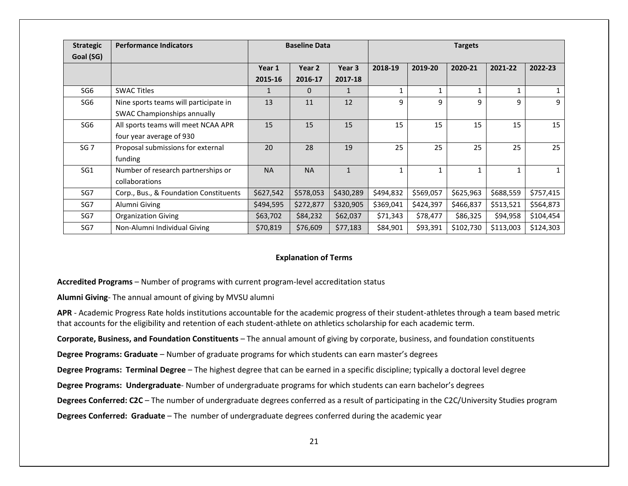| <b>Strategic</b> | <b>Performance Indicators</b>                                        | <b>Baseline Data</b> |           |              | <b>Targets</b> |           |           |           |           |
|------------------|----------------------------------------------------------------------|----------------------|-----------|--------------|----------------|-----------|-----------|-----------|-----------|
| Goal (SG)        |                                                                      | Year 1               | Year 2    | Year 3       | 2018-19        | 2019-20   | 2020-21   | 2021-22   | 2022-23   |
|                  |                                                                      | 2015-16              | 2016-17   | 2017-18      |                |           |           |           |           |
| SG <sub>6</sub>  | <b>SWAC Titles</b>                                                   | $\mathbf{1}$         | $\Omega$  | $\mathbf{1}$ | 1              |           |           |           |           |
| SG <sub>6</sub>  | Nine sports teams will participate in<br>SWAC Championships annually | 13                   | 11        | 12           | 9              | 9         | 9         | 9         | 9         |
| SG <sub>6</sub>  | All sports teams will meet NCAA APR<br>four year average of 930      | 15                   | 15        | 15           | 15             | 15        | 15        | 15        | 15        |
| SG <sub>7</sub>  | Proposal submissions for external<br>funding                         | 20                   | 28        | 19           | 25             | 25        | 25        | 25        | 25        |
| SG1              | Number of research partnerships or<br>collaborations                 | <b>NA</b>            | <b>NA</b> | $\mathbf{1}$ | $\mathbf{1}$   | 1         |           |           |           |
| SG7              | Corp., Bus., & Foundation Constituents                               | \$627,542            | \$578,053 | \$430,289    | \$494,832      | \$569,057 | \$625,963 | \$688,559 | \$757,415 |
| SG7              | Alumni Giving                                                        | \$494,595            | \$272,877 | \$320,905    | \$369,041      | \$424,397 | \$466,837 | \$513,521 | \$564,873 |
| SG7              | <b>Organization Giving</b>                                           | \$63,702             | \$84,232  | \$62,037     | \$71,343       | \$78,477  | \$86,325  | \$94,958  | \$104,454 |
| SG7              | Non-Alumni Individual Giving                                         | \$70,819             | \$76,609  | \$77,183     | \$84,901       | \$93,391  | \$102,730 | \$113,003 | \$124,303 |

#### **Explanation of Terms**

**Accredited Programs** – Number of programs with current program-level accreditation status

**Alumni Giving**- The annual amount of giving by MVSU alumni

**APR** - Academic Progress Rate holds institutions accountable for the academic progress of their student-athletes through a team based metric that accounts for the eligibility and retention of each student-athlete on athletics scholarship for each academic term.

**Corporate, Business, and Foundation Constituents** – The annual amount of giving by corporate, business, and foundation constituents

**Degree Programs: Graduate** – Number of graduate programs for which students can earn master's degrees

**Degree Programs: Terminal Degree** – The highest degree that can be earned in a specific discipline; typically a doctoral level degree

**Degree Programs: Undergraduate**- Number of undergraduate programs for which students can earn bachelor's degrees

**Degrees Conferred: C2C** – The number of undergraduate degrees conferred as a result of participating in the C2C/University Studies program

**Degrees Conferred: Graduate** – The number of undergraduate degrees conferred during the academic year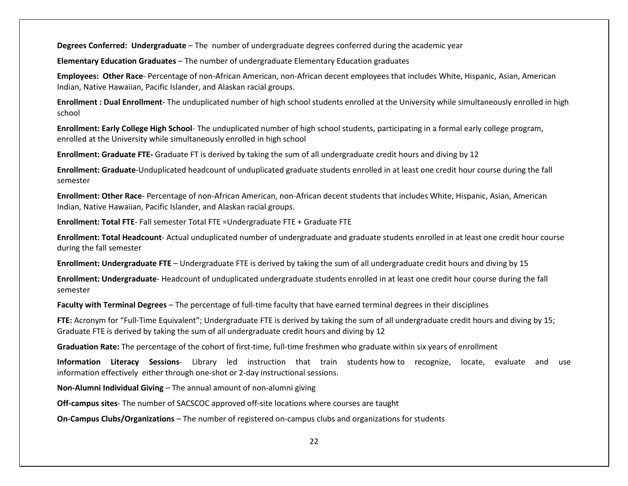**Degrees Conferred: Undergraduate** – The number of undergraduate degrees conferred during the academic year

**Elementary Education Graduates** – The number of undergraduate Elementary Education graduates

**Employees: Other Race**- Percentage of non-African American, non-African decent employees that includes White, Hispanic, Asian, American Indian, Native Hawaiian, Pacific Islander, and Alaskan racial groups.

**Enrollment : Dual Enrollment**- The unduplicated number of high school students enrolled at the University while simultaneously enrolled in high school

**Enrollment: Early College High School**- The unduplicated number of high school students, participating in a formal early college program, enrolled at the University while simultaneously enrolled in high school

**Enrollment: Graduate FTE-** Graduate FT is derived by taking the sum of all undergraduate credit hours and diving by 12

**Enrollment: Graduate**-Unduplicated headcount of unduplicated graduate students enrolled in at least one credit hour course during the fall semester

**Enrollment: Other Race**- Percentage of non-African American, non-African decent students that includes White, Hispanic, Asian, American Indian, Native Hawaiian, Pacific Islander, and Alaskan racial groups.

**Enrollment: Total FTE**- Fall semester Total FTE =Undergraduate FTE + Graduate FTE

**Enrollment: Total Headcount**- Actual unduplicated number of undergraduate and graduate students enrolled in at least one credit hour course during the fall semester

**Enrollment: Undergraduate FTE** – Undergraduate FTE is derived by taking the sum of all undergraduate credit hours and diving by 15

**Enrollment: Undergraduate**- Headcount of unduplicated undergraduate students enrolled in at least one credit hour course during the fall semester

**Faculty with Terminal Degrees** – The percentage of full-time faculty that have earned terminal degrees in their disciplines

**FTE:** Acronym for "Full-Time Equivalent"; Undergraduate FTE is derived by taking the sum of all undergraduate credit hours and diving by 15; Graduate FTE is derived by taking the sum of all undergraduate credit hours and diving by 12

**Graduation Rate:** The percentage of the cohort of first-time, full-time freshmen who graduate within six years of enrollment

**Information Literacy Sessions**- Library led instruction that train students how to recognize, locate, evaluate and use information effectively either through one-shot or 2-day instructional sessions.

**Non-Alumni Individual Giving** – The annual amount of non-alumni giving

**Off-campus sites**- The number of SACSCOC approved off-site locations where courses are taught

**On-Campus Clubs/Organizations** – The number of registered on-campus clubs and organizations for students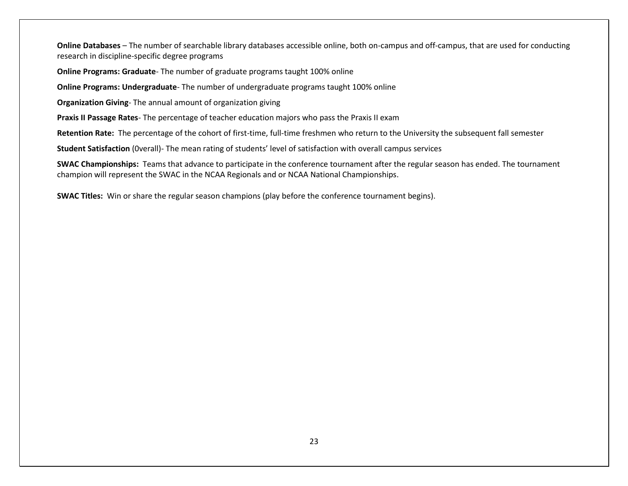**Online Databases** – The number of searchable library databases accessible online, both on-campus and off-campus, that are used for conducting research in discipline-specific degree programs

**Online Programs: Graduate**- The number of graduate programs taught 100% online

**Online Programs: Undergraduate**- The number of undergraduate programs taught 100% online

**Organization Giving**- The annual amount of organization giving

**Praxis II Passage Rates**- The percentage of teacher education majors who pass the Praxis II exam

**Retention Rate:** The percentage of the cohort of first-time, full-time freshmen who return to the University the subsequent fall semester

**Student Satisfaction** (0verall)- The mean rating of students' level of satisfaction with overall campus services

**SWAC Championships:** Teams that advance to participate in the conference tournament after the regular season has ended. The tournament champion will represent the SWAC in the NCAA Regionals and or NCAA National Championships.

**SWAC Titles:** Win or share the regular season champions (play before the conference tournament begins).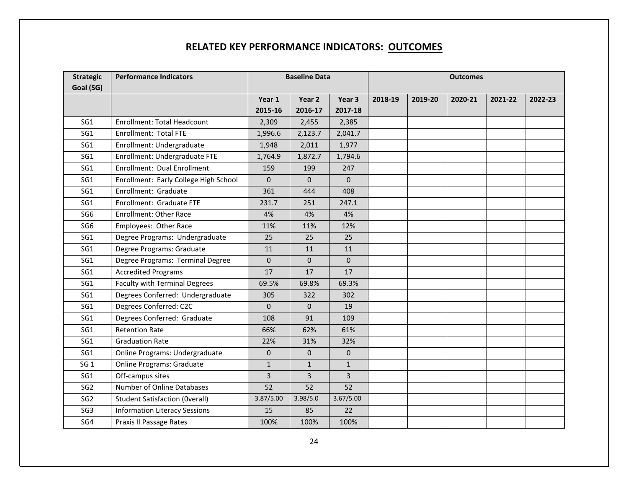## **RELATED KEY PERFORMANCE INDICATORS: OUTCOMES**

| <b>Strategic</b> | <b>Performance Indicators</b>         | <b>Baseline Data</b> |                | <b>Outcomes</b>   |         |         |         |         |         |
|------------------|---------------------------------------|----------------------|----------------|-------------------|---------|---------|---------|---------|---------|
| Goal (SG)        |                                       |                      |                |                   |         |         |         |         |         |
|                  |                                       | Year 1               | Year 2         | Year <sub>3</sub> | 2018-19 | 2019-20 | 2020-21 | 2021-22 | 2022-23 |
|                  |                                       | 2015-16              | 2016-17        | 2017-18           |         |         |         |         |         |
| SG1              | <b>Enrollment: Total Headcount</b>    | 2,309                | 2,455          | 2,385             |         |         |         |         |         |
| SG1              | Enrollment: Total FTE                 | 1,996.6              | 2,123.7        | 2,041.7           |         |         |         |         |         |
| SG1              | Enrollment: Undergraduate             | 1,948                | 2,011          | 1,977             |         |         |         |         |         |
| SG1              | Enrollment: Undergraduate FTE         | 1,764.9              | 1,872.7        | 1,794.6           |         |         |         |         |         |
| SG1              | Enrollment: Dual Enrollment           | 159                  | 199            | 247               |         |         |         |         |         |
| SG1              | Enrollment: Early College High School | $\Omega$             | $\Omega$       | $\Omega$          |         |         |         |         |         |
| SG1              | Enrollment: Graduate                  | 361                  | 444            | 408               |         |         |         |         |         |
| SG1              | Enrollment: Graduate FTE              | 231.7                | 251            | 247.1             |         |         |         |         |         |
| SG <sub>6</sub>  | <b>Enrollment: Other Race</b>         | 4%                   | 4%             | 4%                |         |         |         |         |         |
| SG <sub>6</sub>  | Employees: Other Race                 | 11%                  | 11%            | 12%               |         |         |         |         |         |
| SG1              | Degree Programs: Undergraduate        | 25                   | 25             | 25                |         |         |         |         |         |
| SG1              | Degree Programs: Graduate             | 11                   | 11             | 11                |         |         |         |         |         |
| SG1              | Degree Programs: Terminal Degree      | $\mathbf{0}$         | $\Omega$       | $\mathbf{0}$      |         |         |         |         |         |
| SG1              | <b>Accredited Programs</b>            | 17                   | 17             | 17                |         |         |         |         |         |
| SG1              | <b>Faculty with Terminal Degrees</b>  | 69.5%                | 69.8%          | 69.3%             |         |         |         |         |         |
| SG1              | Degrees Conferred: Undergraduate      | 305                  | 322            | 302               |         |         |         |         |         |
| SG1              | Degrees Conferred: C2C                | $\Omega$             | $\mathbf{0}$   | 19                |         |         |         |         |         |
| SG1              | Degrees Conferred: Graduate           | 108                  | 91             | 109               |         |         |         |         |         |
| SG1              | <b>Retention Rate</b>                 | 66%                  | 62%            | 61%               |         |         |         |         |         |
| SG1              | <b>Graduation Rate</b>                | 22%                  | 31%            | 32%               |         |         |         |         |         |
| SG1              | Online Programs: Undergraduate        | $\mathbf{0}$         | $\Omega$       | $\mathbf{0}$      |         |         |         |         |         |
| SG <sub>1</sub>  | <b>Online Programs: Graduate</b>      | $\mathbf{1}$         | $\mathbf{1}$   | $\mathbf{1}$      |         |         |         |         |         |
| SG1              | Off-campus sites                      | 3                    | $\overline{3}$ | 3                 |         |         |         |         |         |
| SG <sub>2</sub>  | Number of Online Databases            | 52                   | 52             | 52                |         |         |         |         |         |
| SG <sub>2</sub>  | <b>Student Satisfaction (Overall)</b> | 3.87/5.00            | 3.98/5.0       | 3.67/5.00         |         |         |         |         |         |
| SG <sub>3</sub>  | <b>Information Literacy Sessions</b>  | 15                   | 85             | 22                |         |         |         |         |         |
| SG4              | Praxis II Passage Rates               | 100%                 | 100%           | 100%              |         |         |         |         |         |